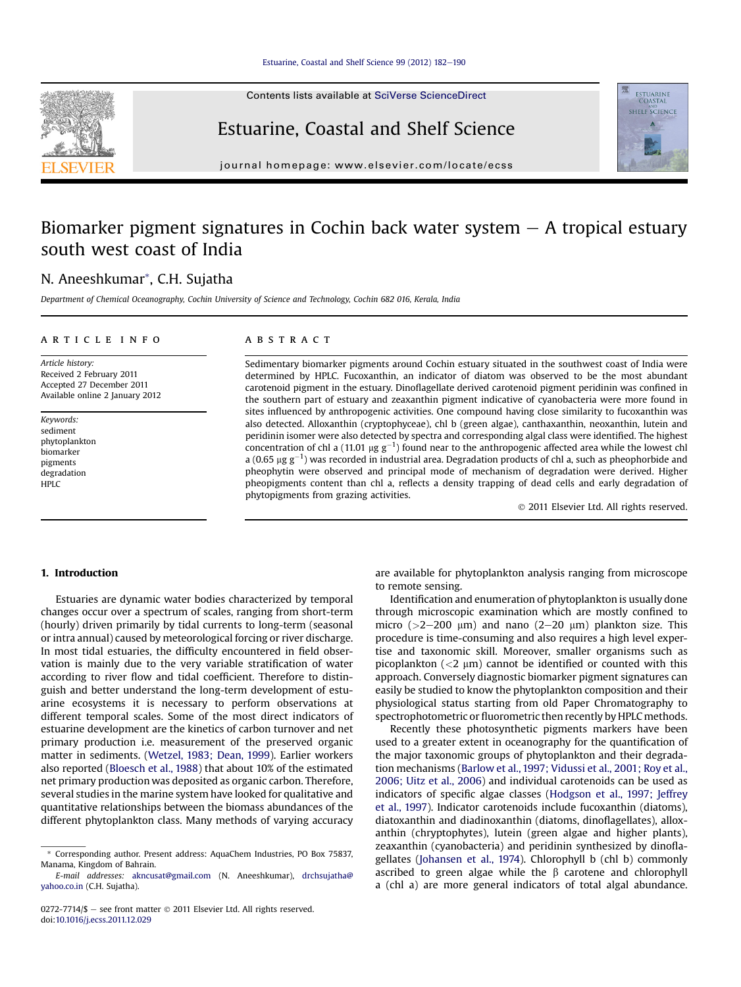Contents lists available at SciVerse ScienceDirect

## Estuarine, Coastal and Shelf Science

journal homepage: [www.elsevier.com/locate/ecss](http://www.elsevier.com/locate/ecss)

# Biomarker pigment signatures in Cochin back water system  $-$  A tropical estuary south west coast of India

## N. Aneeshkumar\*, C.H. Sujatha

Department of Chemical Oceanography, Cochin University of Science and Technology, Cochin 682 016, Kerala, India

## article info

Article history: Received 2 February 2011 Accepted 27 December 2011 Available online 2 January 2012

Keywords: sediment phytoplankton biomarker pigments degradation HPLC

### **ABSTRACT**

Sedimentary biomarker pigments around Cochin estuary situated in the southwest coast of India were determined by HPLC. Fucoxanthin, an indicator of diatom was observed to be the most abundant carotenoid pigment in the estuary. Dinoflagellate derived carotenoid pigment peridinin was confined in the southern part of estuary and zeaxanthin pigment indicative of cyanobacteria were more found in sites influenced by anthropogenic activities. One compound having close similarity to fucoxanthin was also detected. Alloxanthin (cryptophyceae), chl b (green algae), canthaxanthin, neoxanthin, lutein and peridinin isomer were also detected by spectra and corresponding algal class were identified. The highest concentration of chl a (11.01  $\mu$ g g<sup>-1</sup>) found near to the anthropogenic affected area while the lowest chl<br>2.0.65 ug g<sup>-1</sup>) was recorded in industrial area. Degradation products of chl a such as pheophorbide and a (0.65  $\mu$ g g<sup>-1</sup>) was recorded in industrial area. Degradation products of chl a, such as pheophorbide and<br>pheophytip were observed and principal mode of mechanism of degradation were derived. Higher pheophytin were observed and principal mode of mechanism of degradation were derived. Higher pheopigments content than chl a, reflects a density trapping of dead cells and early degradation of phytopigments from grazing activities.

2011 Elsevier Ltd. All rights reserved.

## 1. Introduction

Estuaries are dynamic water bodies characterized by temporal changes occur over a spectrum of scales, ranging from short-term (hourly) driven primarily by tidal currents to long-term (seasonal or intra annual) caused by meteorological forcing or river discharge. In most tidal estuaries, the difficulty encountered in field observation is mainly due to the very variable stratification of water according to river flow and tidal coefficient. Therefore to distinguish and better understand the long-term development of estuarine ecosystems it is necessary to perform observations at different temporal scales. Some of the most direct indicators of estuarine development are the kinetics of carbon turnover and net primary production i.e. measurement of the preserved organic matter in sediments. [\(Wetzel, 1983; Dean, 1999](#page-8-0)). Earlier workers also reported [\(Bloesch et al., 1988](#page-7-0)) that about 10% of the estimated net primary production was deposited as organic carbon. Therefore, several studies in the marine system have looked for qualitative and quantitative relationships between the biomass abundances of the different phytoplankton class. Many methods of varying accuracy are available for phytoplankton analysis ranging from microscope to remote sensing.

Identification and enumeration of phytoplankton is usually done through microscopic examination which are mostly confined to micro ( $>2-200 \mu m$ ) and nano (2-20  $\mu m$ ) plankton size. This procedure is time-consuming and also requires a high level expertise and taxonomic skill. Moreover, smaller organisms such as picoplankton  $\left($  <2  $\mu$ m) cannot be identified or counted with this approach. Conversely diagnostic biomarker pigment signatures can easily be studied to know the phytoplankton composition and their physiological status starting from old Paper Chromatography to spectrophotometric or fluorometric then recently by HPLC methods.

Recently these photosynthetic pigments markers have been used to a greater extent in oceanography for the quantification of the major taxonomic groups of phytoplankton and their degradation mechanisms ([Barlow et al., 1997; Vidussi et al., 2001; Roy et al.,](#page-7-0) [2006; Uitz et al., 2006](#page-7-0)) and individual carotenoids can be used as indicators of specific algae classes ([Hodgson et al., 1997; Jeffrey](#page-7-0) [et al., 1997](#page-7-0)). Indicator carotenoids include fucoxanthin (diatoms), diatoxanthin and diadinoxanthin (diatoms, dinoflagellates), alloxanthin (chryptophytes), lutein (green algae and higher plants), zeaxanthin (cyanobacteria) and peridinin synthesized by dinoflagellates [\(Johansen et al., 1974\)](#page-7-0). Chlorophyll b (chl b) commonly ascribed to green algae while the  $\beta$  carotene and chlorophyll a (chl a) are more general indicators of total algal abundance.





<sup>\*</sup> Corresponding author. Present address: AquaChem Industries, PO Box 75837, Manama, Kingdom of Bahrain.

E-mail addresses: [akncusat@gmail.com](mailto:akncusat@gmail.com) (N. Aneeshkumar), [drchsujatha@](mailto:drchsujatha@yahoo.co.in) [yahoo.co.in](mailto:drchsujatha@yahoo.co.in) (C.H. Sujatha).

<sup>0272-7714/\$</sup>  $-$  see front matter  $\odot$  2011 Elsevier Ltd. All rights reserved. doi:[10.1016/j.ecss.2011.12.029](http://dx.doi.org/10.1016/j.ecss.2011.12.029)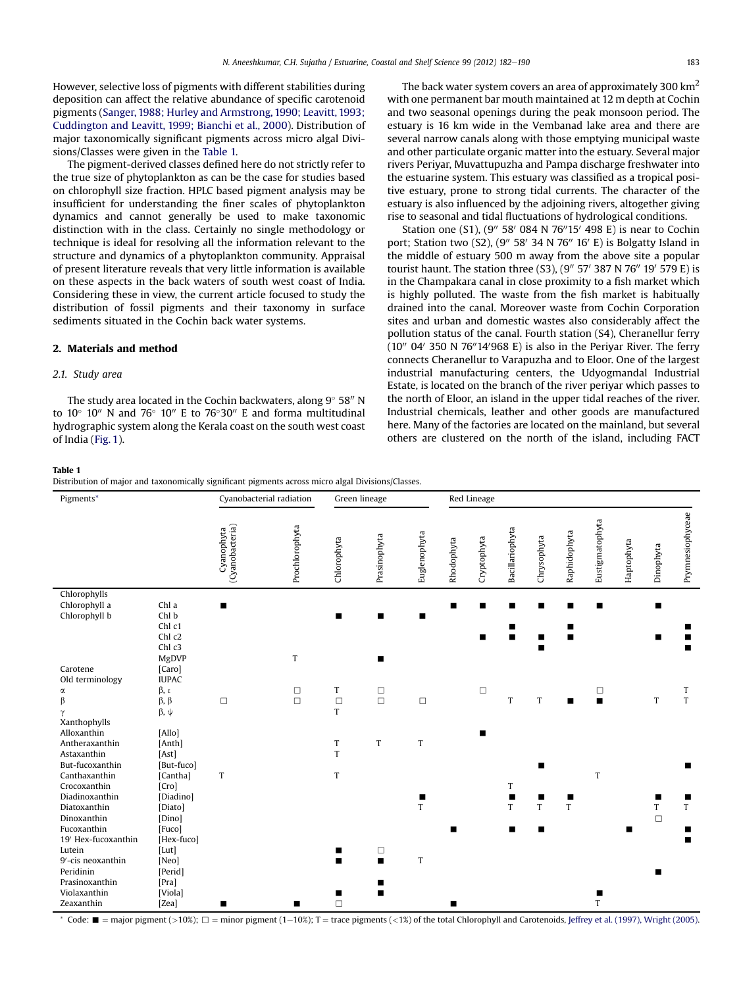However, selective loss of pigments with different stabilities during deposition can affect the relative abundance of specific carotenoid pigments ([Sanger, 1988; Hurley and Armstrong, 1990; Leavitt, 1993;](#page-8-0) [Cuddington and Leavitt, 1999; Bianchi et al., 2000](#page-8-0)). Distribution of major taxonomically significant pigments across micro algal Divisions/Classes were given in the Table 1.

The pigment-derived classes defined here do not strictly refer to the true size of phytoplankton as can be the case for studies based on chlorophyll size fraction. HPLC based pigment analysis may be insufficient for understanding the finer scales of phytoplankton dynamics and cannot generally be used to make taxonomic distinction with in the class. Certainly no single methodology or technique is ideal for resolving all the information relevant to the structure and dynamics of a phytoplankton community. Appraisal of present literature reveals that very little information is available on these aspects in the back waters of south west coast of India. Considering these in view, the current article focused to study the distribution of fossil pigments and their taxonomy in surface sediments situated in the Cochin back water systems.

## 2. Materials and method

## 2.1. Study area

The study area located in the Cochin backwaters, along  $9^{\circ}$  58" N to  $10^{\circ}$  10" N and  $76^{\circ}$  10" E to  $76^{\circ}30$ " E and forma multitudinal hydrographic system along the Kerala coast on the south west coast of India [\(Fig. 1](#page-2-0)).

#### Table 1

Distribution of major and taxonomically significant pigments across micro algal Divisions/Classes.

| Pigments*                                                                           |                                                               | Cyanobacterial radiation<br>Green lineage |                  |                  |                          | Red Lineage  |                |             |                 |             |                     |                     |            |             |                  |
|-------------------------------------------------------------------------------------|---------------------------------------------------------------|-------------------------------------------|------------------|------------------|--------------------------|--------------|----------------|-------------|-----------------|-------------|---------------------|---------------------|------------|-------------|------------------|
|                                                                                     |                                                               | (Cyanobacteria)<br>Cyanophyta             | Prochlorophyta   | Chlorophyta      | Prasinophyta             | Euglenophyta | Rhodophyta     | Cryptophyta | Bacillariophyta | Chrysophyta | Raphidophyta        | Eustigmatophyta     | Haptophyta | Dinophyta   | Prymnesiophyceae |
| Chlorophylls<br>Chlorophyll a<br>Chlorophyll b                                      | Chl a<br>Chl b<br>Chl c1<br>Chl c2<br>Chl c3<br>MgDVP         | $\blacksquare$                            | $\mathsf T$      | п                | ■                        | п            | $\blacksquare$ | п           | П               | п           | $\blacksquare$      | п                   |            | ■           |                  |
| Carotene                                                                            | [Caro]                                                        |                                           |                  |                  |                          |              |                |             |                 |             |                     |                     |            |             |                  |
| Old terminology<br>α<br>β<br>Υ<br>Xanthophylls                                      | <b>IUPAC</b><br>β, ε<br>$\beta$ , $\beta$<br>$\beta$ , $\psi$ | $\Box$                                    | $\Box$<br>$\Box$ | T<br>$\Box$<br>T | □<br>$\Box$              | $\Box$       |                | $\Box$      | T               | T           |                     | □<br>$\blacksquare$ |            | $\mathsf T$ | T<br>T           |
| Alloxanthin<br>Antheraxanthin<br>Astaxanthin<br>But-fucoxanthin                     | [Allo]<br>[Anth]<br>[Ast]<br>[But-fuco]                       |                                           |                  | T<br>T           | T                        | $\mathbf T$  |                | ■           |                 | ▬           |                     |                     |            |             |                  |
| Canthaxanthin<br>Crocoxanthin                                                       | [Cantha]<br>[Crol]                                            | $\mathbf T$                               |                  | $\mathsf T$      |                          |              |                |             | T               |             |                     | T                   |            |             |                  |
| Diadinoxanthin<br>Diatoxanthin<br>Dinoxanthin<br>Fucoxanthin<br>19' Hex-fucoxanthin | [Diadino]<br>[Diato]<br>[Dino]<br>[Fuco]<br>[Hex-fuco]        |                                           |                  |                  |                          | T            | п              |             | T<br>П          | T<br>п      | п<br>$\overline{T}$ |                     | п          | T<br>$\Box$ | ш<br>T<br>п<br>п |
| Lutein<br>9'-cis neoxanthin<br>Peridinin<br>Prasinoxanthin<br>Violaxanthin          | [Lut]<br>[Neo]<br>[Perid]<br>[Pra]<br>[Viola]                 |                                           |                  | ■<br>■<br>■      | $\Box$<br>$\blacksquare$ | $\mathbf T$  |                |             |                 |             |                     | п                   |            |             |                  |
| Zeaxanthin                                                                          | [Zea]                                                         | п                                         | ■                | $\Box$           |                          |              |                |             |                 |             |                     | T                   |            |             |                  |

The back water system covers an area of approximately 300  $\text{km}^2$ with one permanent bar mouth maintained at 12 m depth at Cochin and two seasonal openings during the peak monsoon period. The estuary is 16 km wide in the Vembanad lake area and there are several narrow canals along with those emptying municipal waste and other particulate organic matter into the estuary. Several major rivers Periyar, Muvattupuzha and Pampa discharge freshwater into the estuarine system. This estuary was classified as a tropical positive estuary, prone to strong tidal currents. The character of the estuary is also influenced by the adjoining rivers, altogether giving rise to seasonal and tidal fluctuations of hydrological conditions.

Station one (S1), (9" 58' 084 N 76"15' 498 E) is near to Cochin port; Station two (S2), (9" 58' 34 N 76" 16' E) is Bolgatty Island in the middle of estuary 500 m away from the above site a popular tourist haunt. The station three (S3),  $(9'' 57' 387 N 76'' 19' 579 E)$  is in the Champakara canal in close proximity to a fish market which is highly polluted. The waste from the fish market is habitually drained into the canal. Moreover waste from Cochin Corporation sites and urban and domestic wastes also considerably affect the pollution status of the canal. Fourth station (S4), Cheranellur ferry  $(10''$  04' 350 N 76"14'968 E) is also in the Periyar River. The ferry connects Cheranellur to Varapuzha and to Eloor. One of the largest industrial manufacturing centers, the Udyogmandal Industrial Estate, is located on the branch of the river periyar which passes to the north of Eloor, an island in the upper tidal reaches of the river. Industrial chemicals, leather and other goods are manufactured here. Many of the factories are located on the mainland, but several others are clustered on the north of the island, including FACT

Code:  $\blacksquare$  = major pigment (>10%);  $\square$  = minor pigment (1-10%); T = trace pigments (<1%) of the total Chlorophyll and Carotenoids, [Jeffrey et al. \(1997\), Wright \(2005\)](#page-7-0).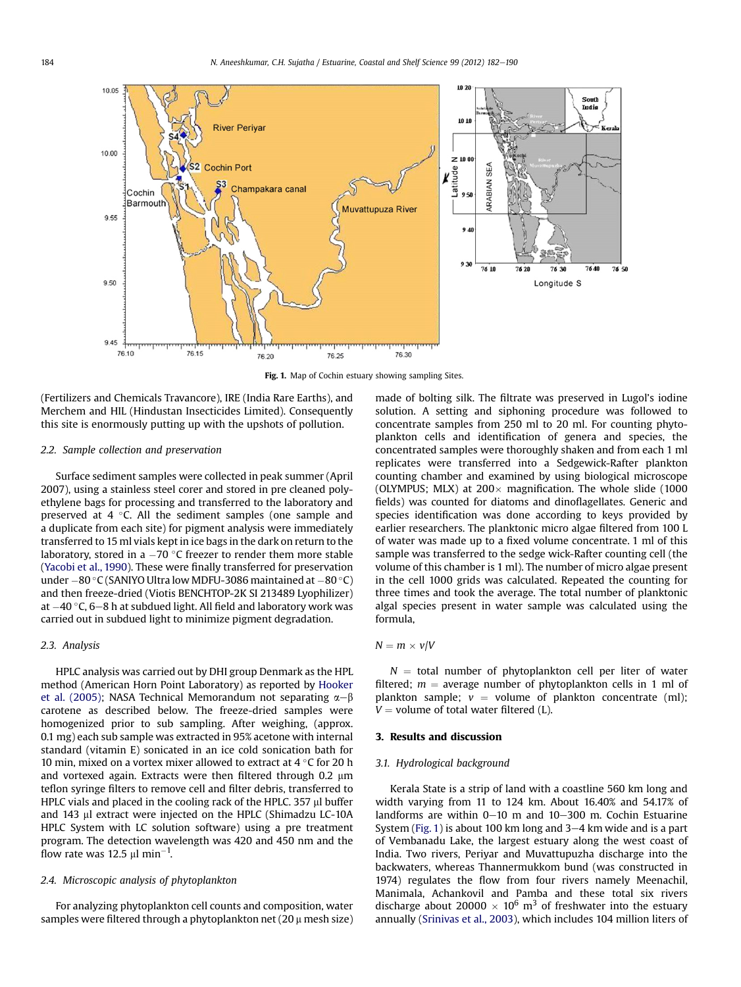<span id="page-2-0"></span>

Fig. 1. Map of Cochin estuary showing sampling Sites.

(Fertilizers and Chemicals Travancore), IRE (India Rare Earths), and Merchem and HIL (Hindustan Insecticides Limited). Consequently this site is enormously putting up with the upshots of pollution.

#### 2.2. Sample collection and preservation

Surface sediment samples were collected in peak summer (April 2007), using a stainless steel corer and stored in pre cleaned polyethylene bags for processing and transferred to the laboratory and preserved at  $4 \degree C$ . All the sediment samples (one sample and a duplicate from each site) for pigment analysis were immediately transferred to 15 ml vials kept in ice bags in the dark on return to the laboratory, stored in a  $-70$  °C freezer to render them more stable ([Yacobi et al., 1990](#page-8-0)). These were finally transferred for preservation under  $-80$  °C (SANIYO Ultra low MDFU-3086 maintained at  $-80$  °C) and then freeze-dried (Viotis BENCHTOP-2K SI 213489 Lyophilizer) at  $-40$  °C, 6-8 h at subdued light. All field and laboratory work was carried out in subdued light to minimize pigment degradation.

## 2.3. Analysis

HPLC analysis was carried out by DHI group Denmark as the HPL method (American Horn Point Laboratory) as reported by [Hooker](#page-7-0) [et al. \(2005\)](#page-7-0); NASA Technical Memorandum not separating  $\alpha-\beta$ carotene as described below. The freeze-dried samples were homogenized prior to sub sampling. After weighing, (approx. 0.1 mg) each sub sample was extracted in 95% acetone with internal standard (vitamin E) sonicated in an ice cold sonication bath for 10 min, mixed on a vortex mixer allowed to extract at 4  $\degree$ C for 20 h and vortexed again. Extracts were then filtered through  $0.2 \mu m$ teflon syringe filters to remove cell and filter debris, transferred to HPLC vials and placed in the cooling rack of the HPLC. 357  $\mu$ l buffer and 143 µl extract were injected on the HPLC (Shimadzu LC-10A HPLC System with LC solution software) using a pre treatment program. The detection wavelength was 420 and 450 nm and the flow rate was 12.5  $\mu$ l min<sup>-1</sup>.

## 2.4. Microscopic analysis of phytoplankton

For analyzing phytoplankton cell counts and composition, water samples were filtered through a phytoplankton net  $(20 \mu$  mesh size) made of bolting silk. The filtrate was preserved in Lugol's iodine solution. A setting and siphoning procedure was followed to concentrate samples from 250 ml to 20 ml. For counting phytoplankton cells and identification of genera and species, the concentrated samples were thoroughly shaken and from each 1 ml replicates were transferred into a Sedgewick-Rafter plankton counting chamber and examined by using biological microscope (OLYMPUS; MLX) at  $200 \times$  magnification. The whole slide (1000 fields) was counted for diatoms and dinoflagellates. Generic and species identification was done according to keys provided by earlier researchers. The planktonic micro algae filtered from 100 L of water was made up to a fixed volume concentrate. 1 ml of this sample was transferred to the sedge wick-Rafter counting cell (the volume of this chamber is 1 ml). The number of micro algae present in the cell 1000 grids was calculated. Repeated the counting for three times and took the average. The total number of planktonic algal species present in water sample was calculated using the formula,

## $N = m \times v/V$

 $N =$  total number of phytoplankton cell per liter of water filtered;  $m =$  average number of phytoplankton cells in 1 ml of plankton sample;  $v =$  volume of plankton concentrate (ml);  $V =$  volume of total water filtered (L).

#### 3. Results and discussion

#### 3.1. Hydrological background

Kerala State is a strip of land with a coastline 560 km long and width varying from 11 to 124 km. About 16.40% and 54.17% of landforms are within  $0-10$  m and  $10-300$  m. Cochin Estuarine System (Fig. 1) is about 100 km long and  $3-4$  km wide and is a part of Vembanadu Lake, the largest estuary along the west coast of India. Two rivers, Periyar and Muvattupuzha discharge into the backwaters, whereas Thannermukkom bund (was constructed in 1974) regulates the flow from four rivers namely Meenachil, Manimala, Achankovil and Pamba and these total six rivers discharge about 20000  $\times$  10<sup>6</sup> m<sup>3</sup> of freshwater into the estuary annually ([Srinivas et al., 2003\)](#page-8-0), which includes 104 million liters of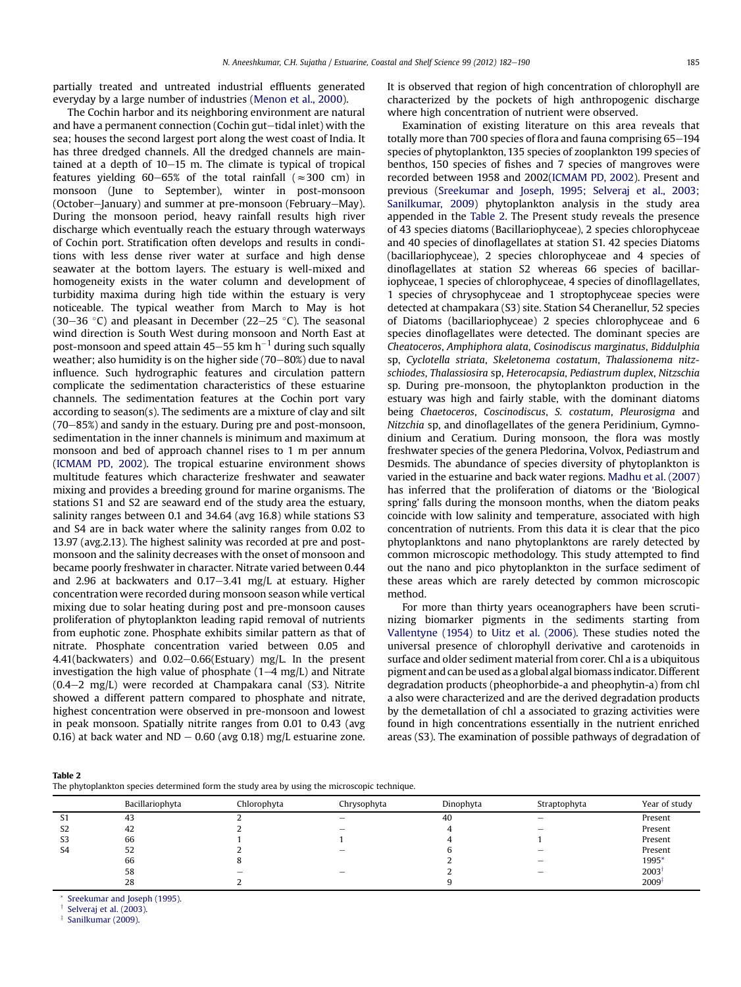partially treated and untreated industrial effluents generated everyday by a large number of industries ([Menon et al., 2000](#page-8-0)).

The Cochin harbor and its neighboring environment are natural and have a permanent connection (Cochin gut-tidal inlet) with the sea; houses the second largest port along the west coast of India. It has three dredged channels. All the dredged channels are maintained at a depth of  $10-15$  m. The climate is typical of tropical features yielding 60–65% of the total rainfall ( $\approx$ 300 cm) in monsoon (June to September), winter in post-monsoon (October-January) and summer at pre-monsoon (February-May). During the monsoon period, heavy rainfall results high river discharge which eventually reach the estuary through waterways of Cochin port. Stratification often develops and results in conditions with less dense river water at surface and high dense seawater at the bottom layers. The estuary is well-mixed and homogeneity exists in the water column and development of turbidity maxima during high tide within the estuary is very noticeable. The typical weather from March to May is hot (30–36 °C) and pleasant in December (22–25 °C). The seasonal wind direction is South West during monsoon and North East at post-monsoon and speed attain 45–55 km  $h^{-1}$  during such squally weather; also humidity is on the higher side  $(70-80%)$  due to naval influence. Such hydrographic features and circulation pattern complicate the sedimentation characteristics of these estuarine channels. The sedimentation features at the Cochin port vary according to season(s). The sediments are a mixture of clay and silt  $(70-85%)$  and sandy in the estuary. During pre and post-monsoon, sedimentation in the inner channels is minimum and maximum at monsoon and bed of approach channel rises to 1 m per annum ([ICMAM PD, 2002\)](#page-7-0). The tropical estuarine environment shows multitude features which characterize freshwater and seawater mixing and provides a breeding ground for marine organisms. The stations S1 and S2 are seaward end of the study area the estuary, salinity ranges between 0.1 and 34.64 (avg 16.8) while stations S3 and S4 are in back water where the salinity ranges from 0.02 to 13.97 (avg.2.13). The highest salinity was recorded at pre and postmonsoon and the salinity decreases with the onset of monsoon and became poorly freshwater in character. Nitrate varied between 0.44 and 2.96 at backwaters and  $0.17-3.41$  mg/L at estuary. Higher concentration were recorded during monsoon season while vertical mixing due to solar heating during post and pre-monsoon causes proliferation of phytoplankton leading rapid removal of nutrients from euphotic zone. Phosphate exhibits similar pattern as that of nitrate. Phosphate concentration varied between 0.05 and 4.41(backwaters) and  $0.02-0.66$ (Estuary) mg/L. In the present investigation the high value of phosphate  $(1-4 \text{ mg/L})$  and Nitrate  $(0.4-2 \text{ mg/L})$  were recorded at Champakara canal (S3). Nitrite showed a different pattern compared to phosphate and nitrate, highest concentration were observed in pre-monsoon and lowest in peak monsoon. Spatially nitrite ranges from 0.01 to 0.43 (avg 0.16) at back water and ND  $-$  0.60 (avg 0.18) mg/L estuarine zone. It is observed that region of high concentration of chlorophyll are characterized by the pockets of high anthropogenic discharge where high concentration of nutrient were observed.

Examination of existing literature on this area reveals that totally more than 700 species of flora and fauna comprising  $65-194$ species of phytoplankton, 135 species of zooplankton 199 species of benthos, 150 species of fishes and 7 species of mangroves were recorded between 1958 and 2002[\(ICMAM PD, 2002\)](#page-7-0). Present and previous ([Sreekumar and Joseph, 1995; Selveraj et al., 2003;](#page-8-0) [Sanilkumar, 2009](#page-8-0)) phytoplankton analysis in the study area appended in the Table 2. The Present study reveals the presence of 43 species diatoms (Bacillariophyceae), 2 species chlorophyceae and 40 species of dinoflagellates at station S1. 42 species Diatoms (bacillariophyceae), 2 species chlorophyceae and 4 species of dinoflagellates at station S2 whereas 66 species of bacillariophyceae, 1 species of chlorophyceae, 4 species of dinofllagellates, 1 species of chrysophyceae and 1 stroptophyceae species were detected at champakara (S3) site. Station S4 Cheranellur, 52 species of Diatoms (bacillariophyceae) 2 species chlorophyceae and 6 species dinoflagellates were detected. The dominant species are Cheatoceros, Amphiphora alata, Cosinodiscus marginatus, Biddulphia sp, Cyclotella striata, Skeletonema costatum, Thalassionema nitzschiodes, Thalassiosira sp, Heterocapsia, Pediastrum duplex, Nitzschia sp. During pre-monsoon, the phytoplankton production in the estuary was high and fairly stable, with the dominant diatoms being Chaetoceros, Coscinodiscus, S. costatum, Pleurosigma and Nitzchia sp, and dinoflagellates of the genera Peridinium, Gymnodinium and Ceratium. During monsoon, the flora was mostly freshwater species of the genera Pledorina, Volvox, Pediastrum and Desmids. The abundance of species diversity of phytoplankton is varied in the estuarine and back water regions. [Madhu et al. \(2007\)](#page-8-0) has inferred that the proliferation of diatoms or the 'Biological spring' falls during the monsoon months, when the diatom peaks coincide with low salinity and temperature, associated with high concentration of nutrients. From this data it is clear that the pico phytoplanktons and nano phytoplanktons are rarely detected by common microscopic methodology. This study attempted to find out the nano and pico phytoplankton in the surface sediment of these areas which are rarely detected by common microscopic method.

For more than thirty years oceanographers have been scrutinizing biomarker pigments in the sediments starting from [Vallentyne \(1954\)](#page-8-0) to [Uitz et al. \(2006\)](#page-8-0). These studies noted the universal presence of chlorophyll derivative and carotenoids in surface and older sediment material from corer. Chl a is a ubiquitous pigment and can be used as a global algal biomass indicator. Different degradation products (pheophorbide-a and pheophytin-a) from chl a also were characterized and are the derived degradation products by the demetallation of chl a associated to grazing activities were found in high concentrations essentially in the nutrient enriched areas (S3). The examination of possible pathways of degradation of

|--|--|

The phytoplankton species determined form the study area by using the microscopic technique.

|                | Bacillariophyta | Chlorophyta | Chrysophyta | Dinophyta | Straptophyta             | Year of study     |
|----------------|-----------------|-------------|-------------|-----------|--------------------------|-------------------|
| S1             | 43              |             | -           | 40        | $\overline{\phantom{a}}$ | Present           |
| S <sub>2</sub> | 42              |             | -           |           | $\overline{\phantom{a}}$ | Present           |
| S <sub>3</sub> | 66              |             |             |           |                          | Present           |
| S4             | 52              |             | -           |           |                          | Present           |
|                | 66              |             |             |           | $\overline{\phantom{a}}$ | 1995*             |
|                | 58              |             | -           |           | $\overline{\phantom{a}}$ | 2003              |
|                | 28              |             |             |           |                          | $2009^{\ddagger}$ |
|                |                 |             |             |           |                          |                   |

[Sreekumar and Joseph \(1995\).](#page-8-0)

[Selveraj et al. \(2003\)](#page-8-0).

[Sanilkumar \(2009\).](#page-8-0)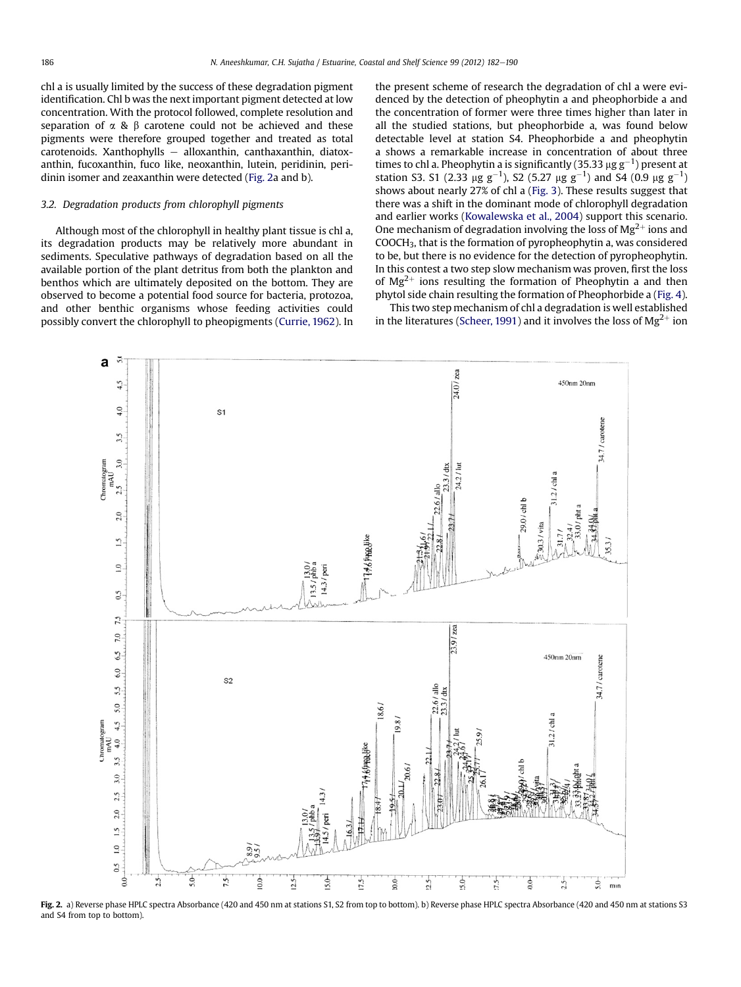<span id="page-4-0"></span>chl a is usually limited by the success of these degradation pigment identification. Chl b was the next important pigment detected at low concentration. With the protocol followed, complete resolution and separation of  $\alpha$  &  $\beta$  carotene could not be achieved and these pigments were therefore grouped together and treated as total  $carotenoids. Xanthophylls - alloxanthin, canthaxanthin, diatox$ anthin, fucoxanthin, fuco like, neoxanthin, lutein, peridinin, peridinin isomer and zeaxanthin were detected (Fig. 2a and b).

## 3.2. Degradation products from chlorophyll pigments

Although most of the chlorophyll in healthy plant tissue is chl a, its degradation products may be relatively more abundant in sediments. Speculative pathways of degradation based on all the available portion of the plant detritus from both the plankton and benthos which are ultimately deposited on the bottom. They are observed to become a potential food source for bacteria, protozoa, and other benthic organisms whose feeding activities could possibly convert the chlorophyll to pheopigments [\(Currie, 1962](#page-7-0)). In the present scheme of research the degradation of chl a were evidenced by the detection of pheophytin a and pheophorbide a and the concentration of former were three times higher than later in all the studied stations, but pheophorbide a, was found below detectable level at station S4. Pheophorbide a and pheophytin a shows a remarkable increase in concentration of about three times to chl a. Pheophytin a is significantly (35.33  $\mu$ g g<sup>-1</sup>) present at <br>station S3, S1 (2.33  $\mu$ g g<sup>-1</sup>), S2 (5.27  $\mu$ g g<sup>-1</sup>) and S4 (0.9  $\mu$ g g<sup>-1</sup>) station S3. S1 (2.33  $\mu$ g g<sup>-1</sup>), S2 (5.27  $\mu$ g g<sup>-1</sup>) and S4 (0.9  $\mu$ g g<sup>-1</sup>)<br>shows about naarly 27% of chl a (Fig. 3). These results suggest that shows about nearly 27% of chl a ([Fig. 3\)](#page-5-0). These results suggest that there was a shift in the dominant mode of chlorophyll degradation and earlier works [\(Kowalewska et al., 2004\)](#page-7-0) support this scenario. One mechanism of degradation involving the loss of  $Mg^{2+}$  ions and COOCH3, that is the formation of pyropheophytin a, was considered to be, but there is no evidence for the detection of pyropheophytin. In this contest a two step slow mechanism was proven, first the loss of  $Mg^{2+}$  ions resulting the formation of Pheophytin a and then phytol side chain resulting the formation of Pheophorbide a [\(Fig. 4\)](#page-6-0).

This two step mechanism of chl a degradation is well established in the literatures ([Scheer, 1991\)](#page-8-0) and it involves the loss of  $Mg^{2+}$  ion



Fig. 2. a) Reverse phase HPLC spectra Absorbance (420 and 450 nm at stations S1, S2 from top to bottom). b) Reverse phase HPLC spectra Absorbance (420 and 450 nm at stations S3 and S4 from top to bottom).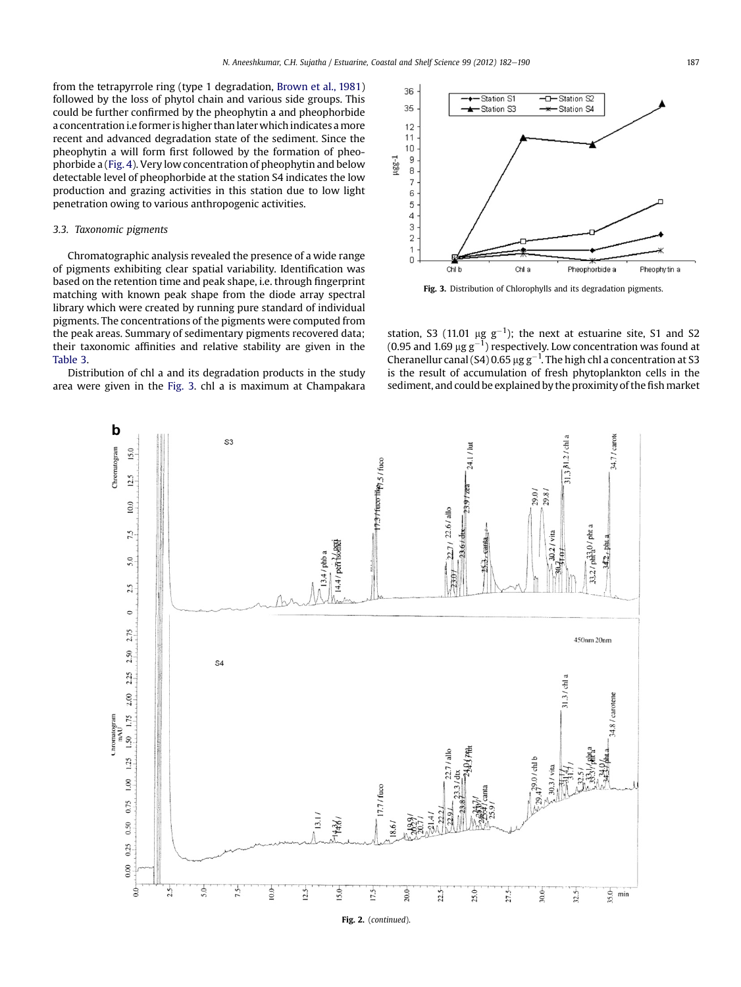<span id="page-5-0"></span>from the tetrapyrrole ring (type 1 degradation, [Brown et al., 1981\)](#page-7-0) followed by the loss of phytol chain and various side groups. This could be further confirmed by the pheophytin a and pheophorbide a concentration i.e former is higher than later which indicates a more recent and advanced degradation state of the sediment. Since the pheophytin a will form first followed by the formation of pheophorbide a [\(Fig. 4](#page-6-0)). Very low concentration of pheophytin and below detectable level of pheophorbide at the station S4 indicates the low production and grazing activities in this station due to low light penetration owing to various anthropogenic activities.

#### 3.3. Taxonomic pigments

Chromatographic analysis revealed the presence of a wide range of pigments exhibiting clear spatial variability. Identification was based on the retention time and peak shape, i.e. through fingerprint matching with known peak shape from the diode array spectral library which were created by running pure standard of individual pigments. The concentrations of the pigments were computed from the peak areas. Summary of sedimentary pigments recovered data; their taxonomic affinities and relative stability are given in the [Table 3.](#page-6-0)

Distribution of chl a and its degradation products in the study area were given in the Fig. 3. chl a is maximum at Champakara



Fig. 3. Distribution of Chlorophylls and its degradation pigments.

station, S3 (11.01  $\mu$ g g<sup>-1</sup>); the next at estuarine site, S1 and S2 (0.95 and 1.69  $\mu$ g g<sup>-1</sup>) respectively Low concentration was found at (0.95 and 1.69  $\mu$ g g<sup>-1</sup>) respectively. Low concentration was found at<br>Cherapellur canal (S4) 0.65 ug g<sup>-1</sup>. The bigh chl a concentration at S3 Cheranellur canal (S4) 0.65  $\mu$ g g<sup>-1</sup>. The high chl a concentration at S3 is the result of accumulation of fresh phytoplankton cells in the is the result of accumulation of fresh phytoplankton cells in the sediment, and could be explained by the proximity of the fish market

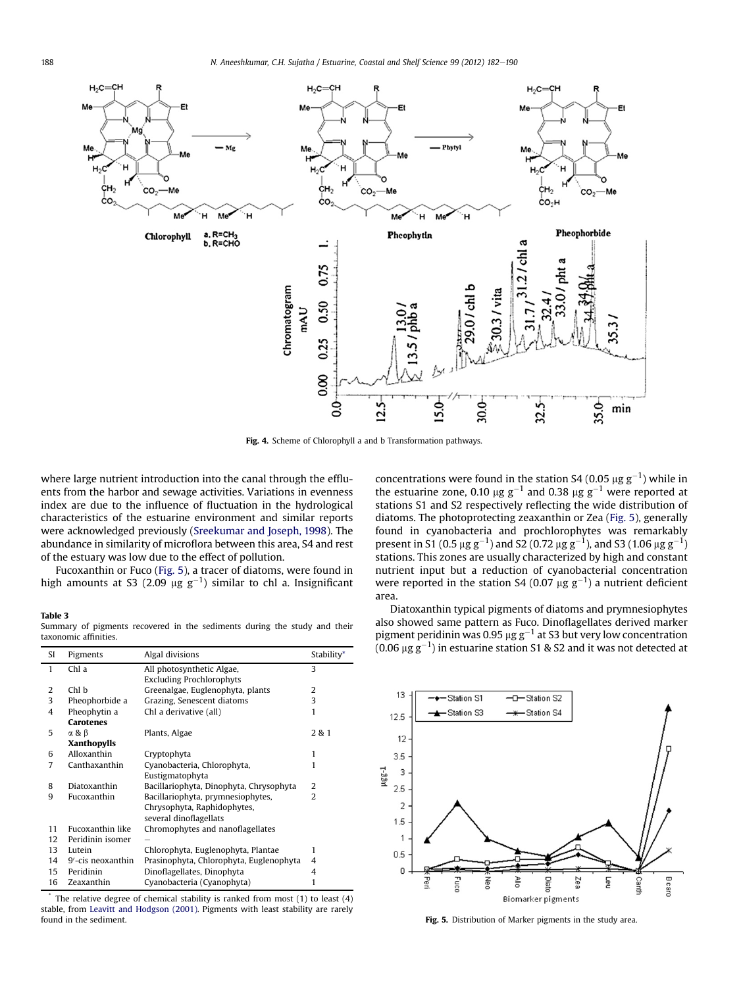<span id="page-6-0"></span>

Fig. 4. Scheme of Chlorophyll a and b Transformation pathways.

where large nutrient introduction into the canal through the effluents from the harbor and sewage activities. Variations in evenness index are due to the influence of fluctuation in the hydrological characteristics of the estuarine environment and similar reports were acknowledged previously ([Sreekumar and Joseph, 1998\)](#page-8-0). The abundance in similarity of microflora between this area, S4 and rest of the estuary was low due to the effect of pollution.

Fucoxanthin or Fuco (Fig. 5), a tracer of diatoms, were found in high amounts at S3 (2.09  $\mu$ g g<sup>-1</sup>) similar to chl a. Insignificant

## Table 3

Summary of pigments recovered in the sediments during the study and their taxonomic affinities.

| SI | Pigments          | Algal divisions                         | Stability*     |
|----|-------------------|-----------------------------------------|----------------|
| 1  | Chl a             | All photosynthetic Algae,               | 3              |
|    |                   | <b>Excluding Prochlorophyts</b>         |                |
| 2  | Chl b             | Greenalgae, Euglenophyta, plants        | 2              |
| 3  | Pheophorbide a    | Grazing, Senescent diatoms              | 3              |
| 4  | Pheophytin a      | Chl a derivative (all)                  | 1              |
|    | <b>Carotenes</b>  |                                         |                |
| 5  | α&β               | Plants, Algae                           | 2 & 1          |
|    | Xanthopylls       |                                         |                |
| 6  | Alloxanthin       | Cryptophyta                             | 1              |
| 7  | Canthaxanthin     | Cyanobacteria, Chlorophyta,             | 1              |
|    |                   | Eustigmatophyta                         |                |
| 8  | Diatoxanthin      | Bacillariophyta, Dinophyta, Chrysophyta | 2              |
| 9  | Fucoxanthin       | Bacillariophyta, prymnesiophytes,       | $\overline{2}$ |
|    |                   | Chrysophyta, Raphidophytes,             |                |
|    |                   | several dinoflagellats                  |                |
| 11 | Fucoxanthin like  | Chromophytes and nanoflagellates        |                |
| 12 | Peridinin isomer  |                                         |                |
| 13 | Lutein            | Chlorophyta, Euglenophyta, Plantae      | 1              |
| 14 | 9'-cis neoxanthin | Prasinophyta, Chlorophyta, Euglenophyta | 4              |
| 15 | Peridinin         | Dinoflagellates, Dinophyta              | 4              |
| 16 | Zeaxanthin        | Cyanobacteria (Cyanophyta)              | 1              |

The relative degree of chemical stability is ranked from most  $(1)$  to least  $(4)$ stable, from [Leavitt and Hodgson \(2001\).](#page-7-0) Pigments with least stability are rarely found in the sediment. Fig. 5. Distribution of Marker pigments in the study area.

concentrations were found in the station S4 (0.05  $\mu$ g g<sup>-1</sup>) while in<br>the estuaring zone, 0.10  $\mu$ g g<sup>-1</sup> and 0.38  $\mu$ g g<sup>-1</sup> were reported at the estuarine zone, 0.10  $\mu$ g g<sup>-1</sup> and 0.38  $\mu$ g g<sup>-1</sup> were reported at stations S1 and S2 respectively reflecting the wide distribution of diatoms. The photoprotecting zeaxanthin or Zea (Fig. 5), generally found in cyanobacteria and prochlorophytes was remarkably present in S1 (0.5  $\mu$ g g<sup>-1</sup>) and S2 (0.72  $\mu$ g g<sup>-1</sup>), and S3 (1.06  $\mu$ g g<sup>-1</sup>)<br>stations. This zones are usually characterized by high and constant stations. This zones are usually characterized by high and constant nutrient input but a reduction of cyanobacterial concentration were reported in the station S4 (0.07  $\mu$ g g<sup>-1</sup>) a nutrient deficient area.

Diatoxanthin typical pigments of diatoms and prymnesiophytes also showed same pattern as Fuco. Dinoflagellates derived marker pigment peridinin was 0.95  $\mu$ g g<sup>-1</sup> at S3 but very low concentration (0.06  $\mu$ g g $^{-1}$ ) in estuarine station S1 & S2 and it was not detected at

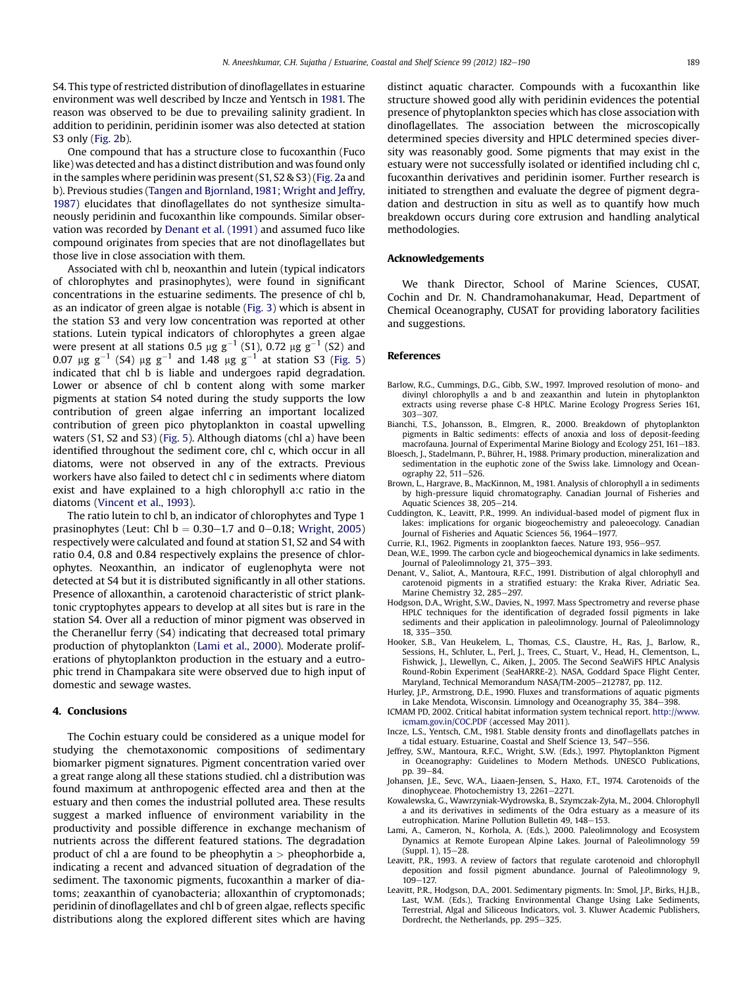<span id="page-7-0"></span>S4. This type of restricted distribution of dinoflagellates in estuarine environment was well described by Incze and Yentsch in 1981. The reason was observed to be due to prevailing salinity gradient. In addition to peridinin, peridinin isomer was also detected at station S3 only [\(Fig. 2](#page-4-0)b).

One compound that has a structure close to fucoxanthin (Fuco like) was detected and has a distinct distribution and was found only in the samples where peridinin was present (S1, S2 & S3) [\(Fig. 2a](#page-4-0) and b). Previous studies ([Tangen and Bjornland, 1981; Wright and Jeffry,](#page-8-0) [1987\)](#page-8-0) elucidates that dinoflagellates do not synthesize simultaneously peridinin and fucoxanthin like compounds. Similar observation was recorded by Denant et al. (1991) and assumed fuco like compound originates from species that are not dinoflagellates but those live in close association with them.

Associated with chl b, neoxanthin and lutein (typical indicators of chlorophytes and prasinophytes), were found in significant concentrations in the estuarine sediments. The presence of chl b, as an indicator of green algae is notable ([Fig. 3\)](#page-5-0) which is absent in the station S3 and very low concentration was reported at other stations. Lutein typical indicators of chlorophytes a green algae were present at all stations 0.5  $\mu$ g g<sup>-1</sup> (S1), 0.72  $\mu$ g g<sup>-1</sup> (S2) and 0.07  $\mu$ g g<sup>-1</sup> (S4)  $\mu$ g g<sup>-1</sup> and 1.48  $\mu$ g g<sup>-1</sup> at station S3 ([Fig. 5\)](#page-6-0) indicated that chl b is liable and undergoes rapid degradation. Lower or absence of chl b content along with some marker pigments at station S4 noted during the study supports the low contribution of green algae inferring an important localized contribution of green pico phytoplankton in coastal upwelling waters (S1, S2 and S3) [\(Fig. 5](#page-6-0)). Although diatoms (chl a) have been identified throughout the sediment core, chl c, which occur in all diatoms, were not observed in any of the extracts. Previous workers have also failed to detect chl c in sediments where diatom exist and have explained to a high chlorophyll a:c ratio in the diatoms ([Vincent et al., 1993](#page-8-0)).

The ratio lutein to chl b, an indicator of chlorophytes and Type 1 prasinophytes (Leut: Chl  $b = 0.30 - 1.7$  and 0-0.18; [Wright, 2005\)](#page-8-0) respectively were calculated and found at station S1, S2 and S4 with ratio 0.4, 0.8 and 0.84 respectively explains the presence of chlorophytes. Neoxanthin, an indicator of euglenophyta were not detected at S4 but it is distributed significantly in all other stations. Presence of alloxanthin, a carotenoid characteristic of strict planktonic cryptophytes appears to develop at all sites but is rare in the station S4. Over all a reduction of minor pigment was observed in the Cheranellur ferry (S4) indicating that decreased total primary production of phytoplankton (Lami et al., 2000). Moderate proliferations of phytoplankton production in the estuary and a eutrophic trend in Champakara site were observed due to high input of domestic and sewage wastes.

## 4. Conclusions

The Cochin estuary could be considered as a unique model for studying the chemotaxonomic compositions of sedimentary biomarker pigment signatures. Pigment concentration varied over a great range along all these stations studied. chl a distribution was found maximum at anthropogenic effected area and then at the estuary and then comes the industrial polluted area. These results suggest a marked influence of environment variability in the productivity and possible difference in exchange mechanism of nutrients across the different featured stations. The degradation product of chl a are found to be pheophytin  $a >$  pheophorbide a, indicating a recent and advanced situation of degradation of the sediment. The taxonomic pigments, fucoxanthin a marker of diatoms; zeaxanthin of cyanobacteria; alloxanthin of cryptomonads; peridinin of dinoflagellates and chl b of green algae, reflects specific distributions along the explored different sites which are having distinct aquatic character. Compounds with a fucoxanthin like structure showed good ally with peridinin evidences the potential presence of phytoplankton species which has close association with dinoflagellates. The association between the microscopically determined species diversity and HPLC determined species diversity was reasonably good. Some pigments that may exist in the estuary were not successfully isolated or identified including chl c, fucoxanthin derivatives and peridinin isomer. Further research is initiated to strengthen and evaluate the degree of pigment degradation and destruction in situ as well as to quantify how much breakdown occurs during core extrusion and handling analytical methodologies.

### Acknowledgements

We thank Director, School of Marine Sciences, CUSAT, Cochin and Dr. N. Chandramohanakumar, Head, Department of Chemical Oceanography, CUSAT for providing laboratory facilities and suggestions.

#### References

- Barlow, R.G., Cummings, D.G., Gibb, S.W., 1997. Improved resolution of mono- and divinyl chlorophylls a and b and zeaxanthin and lutein in phytoplankton extracts using reverse phase C-8 HPLC. Marine Ecology Progress Series 161, 303-307.
- Bianchi, T.S., Johansson, B., Elmgren, R., 2000. Breakdown of phytoplankton pigments in Baltic sediments: effects of anoxia and loss of deposit-feeding macrofauna. Journal of Experimental Marine Biology and Ecology 251, 161-183.
- Bloesch, J., Stadelmann, P., Bührer, H., 1988. Primary production, mineralization and sedimentation in the euphotic zone of the Swiss lake. Limnology and Oceanography 22, 511-526.
- Brown, L., Hargrave, B., MacKinnon, M., 1981. Analysis of chlorophyll a in sediments by high-pressure liquid chromatography. Canadian Journal of Fisheries and Aquatic Sciences 38, 205-214.
- Cuddington, K., Leavitt, P.R., 1999. An individual-based model of pigment flux in lakes: implications for organic biogeochemistry and paleoecology. Canadian Journal of Fisheries and Aquatic Sciences 56, 1964-1977.
- Currie, R.I., 1962. Pigments in zooplankton faeces. Nature 193, 956-957.
- Dean, W.E., 1999. The carbon cycle and biogeochemical dynamics in lake sediments. Journal of Paleolimnology 21, 375-393.
- Denant, V., Saliot, A., Mantoura, R.F.C., 1991. Distribution of algal chlorophyll and carotenoid pigments in a stratified estuary: the Kraka River, Adriatic Sea. Marine Chemistry 32, 285-297.
- Hodgson, D.A., Wright, S.W., Davies, N., 1997. Mass Spectrometry and reverse phase HPLC techniques for the identification of degraded fossil pigments in lake sediments and their application in paleolimnology. Journal of Paleolimnology 18, 335-350.
- Hooker, S.B., Van Heukelem, L., Thomas, C.S., Claustre, H., Ras, J., Barlow, R., Sessions, H., Schluter, L., Perl, J., Trees, C., Stuart, V., Head, H., Clementson, L., Fishwick, J., Llewellyn, C., Aiken, J., 2005. The Second SeaWiFS HPLC Analysis Round-Robin Experiment (SeaHARRE-2). NASA, Goddard Space Flight Center, Maryland, Technical Memorandum NASA/TM-2005-212787, pp. 112.
- Hurley, J.P., Armstrong, D.E., 1990. Fluxes and transformations of aquatic pigments in Lake Mendota, Wisconsin. Limnology and Oceanography 35, 384e398.
- ICMAM PD, 2002. Critical habitat information system technical report. [http://www.](http://www.icmam.gov.in/COC.PDF) [icmam.gov.in/COC.PDF](http://www.icmam.gov.in/COC.PDF) (accessed May 2011).
- Incze, L.S., Yentsch, C.M., 1981. Stable density fronts and dinoflagellats patches in a tidal estuary. Estuarine, Coastal and Shelf Science 13, 547-556.
- Jeffrey, S.W., Mantoura, R.F.C., Wright, S.W. (Eds.), 1997. Phytoplankton Pigment in Oceanography: Guidelines to Modern Methods. UNESCO Publications, pp. 39-84.
- Johansen, J.E., Sevc, W.A., Liaaen-Jensen, S., Haxo, F.T., 1974. Carotenoids of the dinophyceae. Photochemistry 13, 2261-2271.
- Kowalewska, G., Wawrzyniak-Wydrowska, B., Szymczak-Zy1a, M., 2004. Chlorophyll a and its derivatives in sediments of the Odra estuary as a measure of its eutrophication. Marine Pollution Bulletin 49, 148-153.
- Lami, A., Cameron, N., Korhola, A. (Eds.), 2000. Paleolimnology and Ecosystem Dynamics at Remote European Alpine Lakes. Journal of Paleolimnology 59 (Suppl. 1), 15-28.
- Leavitt, P.R., 1993. A review of factors that regulate carotenoid and chlorophyll deposition and fossil pigment abundance. Journal of Paleolimnology 9, 109-127.
- Leavitt, P.R., Hodgson, D.A., 2001. Sedimentary pigments. In: Smol, J.P., Birks, H.J.B., Last, W.M. (Eds.), Tracking Environmental Change Using Lake Sediments, Terrestrial, Algal and Siliceous Indicators, vol. 3. Kluwer Academic Publishers, Dordrecht, the Netherlands, pp. 295-325.